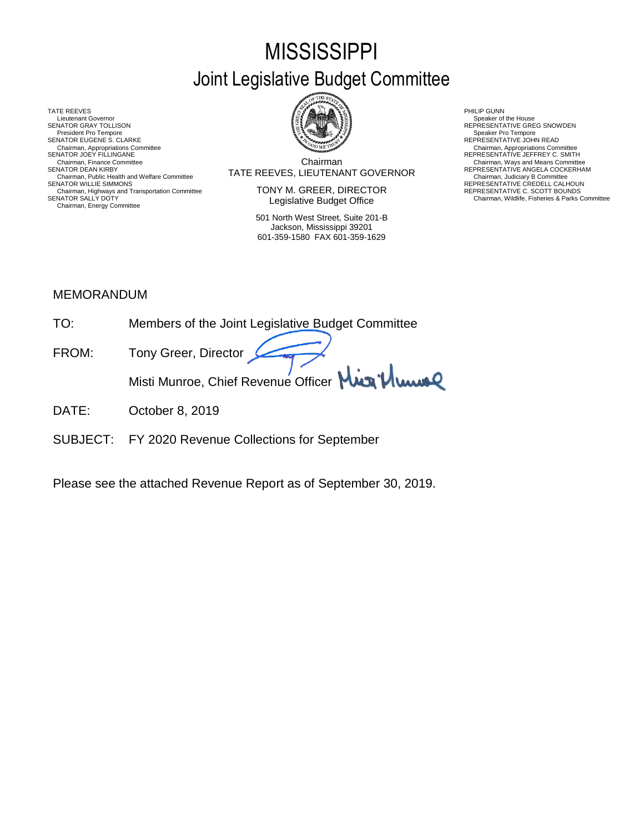# **MISSISSIPPI** Joint Legislative Budget Committee

TATE REEVES THE REDUCT THE REEVES AND RELATED AS A RELATED MALL OF LATER REEVES AND RELATED AT A RELATED MALL OF LATER SUMMARY AND RELATED AT A RELATED AND RELATED AT A RELATED MALL OF LATER SUMMARY AND RELATED AT A RELAT Lieutenant Governor<br>SENATOR GRAY TOLLISON President Pro Tempore SENATOR EUGENE S. CLARKE<br>Chairman, Appropriations Committee<br>SENATOR JOEY FILLINGANE Chairman, Appropriations Committee Chairman, Appropriations Committee<br>SENATOR JOEY FILLINGANE REPRESENTATIVE JEFFREY C. SMITH Chairman, Public Health and Welfare Committee **SENATOR MUST AT A LIGENTY CONTINUM CONTINUM**<br>SENATOR WILLIE SIMMONS **REPRESENTATIVE CREDELL CALHOUN**<br>Chairman, Highways and Transportation Committee **SENATOR** CREDELL CALHOUN Chairman, Highways and Transportation Committee REPRESENTATIVE C. SCOTT BOUNDS SENATOR SALLY DOTY Chairman, Wildlife, Fisheries & Parks Committee Chairman, Energy Committee



Chairman SENATOR DEAN KIRBY (SENATOR DEAN KIRBY) TATE REEVES, LIEUTENANT GOVERNOR REPRESENTATIVE ANGELA COCKERHAM<br>Chairman, Judiciary B Committee Committee Committee Committee Committee Committee Committee Committee Committe Chairman, Finance Committee **Chairman**<br>Chairman Committee **Chairman** Committee **Chairman** COVERNOR REPRESENTATIVE ANGELA COCKERHAM

> TONY M. GREER, DIRECTOR Legislative Budget Office

501 North West Street, Suite 201-B Jackson, Mississippi 39201 601-359-1580 FAX 601-359-1629

Speaker of the House<br>REPRESENTATIVE GREG SNOWDEN<br>Speaker Pro Tempore

## MEMORANDUM

- TO: Members of the Joint Legislative Budget Committee FROM: Tony Greer, Director Misti Munroe, Chief Revenue Officer Mun<sup>1</sup> Muns
- DATE: October 8, 2019
- SUBJECT: FY 2020 Revenue Collections for September

Please see the attached Revenue Report as of September 30, 2019.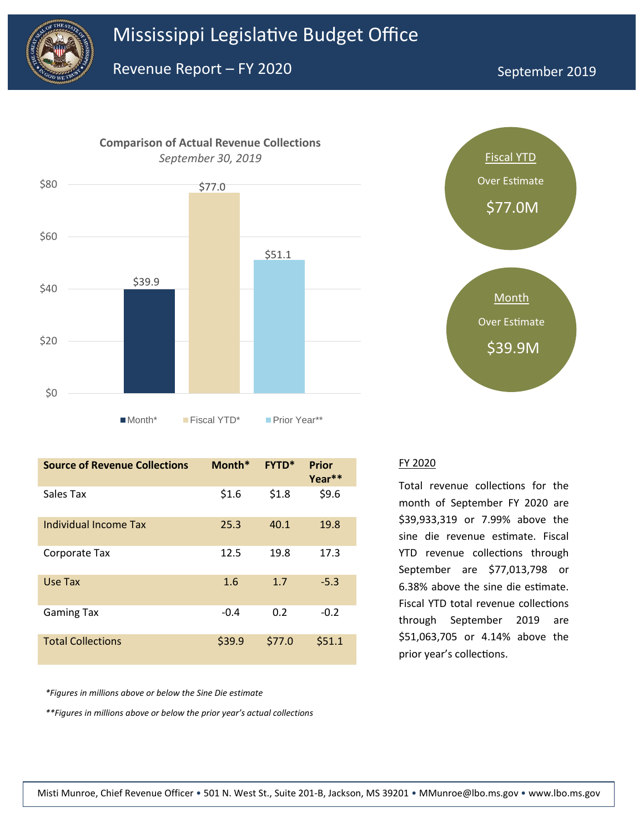



| <b>Source of Revenue Collections</b> | Month* | <b>FYTD*</b> | <b>Prior</b><br>Year** |
|--------------------------------------|--------|--------------|------------------------|
| Sales Tax                            | \$1.6  | \$1.8        | \$9.6                  |
| Individual Income Tax                | 25.3   | 40.1         | 19.8                   |
| Corporate Tax                        | 12.5   | 19.8         | 17.3                   |
| Use Tax                              | 1.6    | 1.7          | $-5.3$                 |
| <b>Gaming Tax</b>                    | $-0.4$ | 0.2          | $-0.2$                 |
| <b>Total Collections</b>             | \$39.9 | \$77.0       | \$51.1                 |

*\*Figures in millions above or below the Sine Die estimate*

*\*\*Figures in millions above or below the prior year's actual collections*



#### FY 2020

Total revenue collections for the month of September FY 2020 are \$39,933,319 or 7.99% above the sine die revenue estimate. Fiscal YTD revenue collections through September are \$77,013,798 or 6.38% above the sine die estimate. Fiscal YTD total revenue collections through September 2019 are \$51,063,705 or 4.14% above the prior year's collections.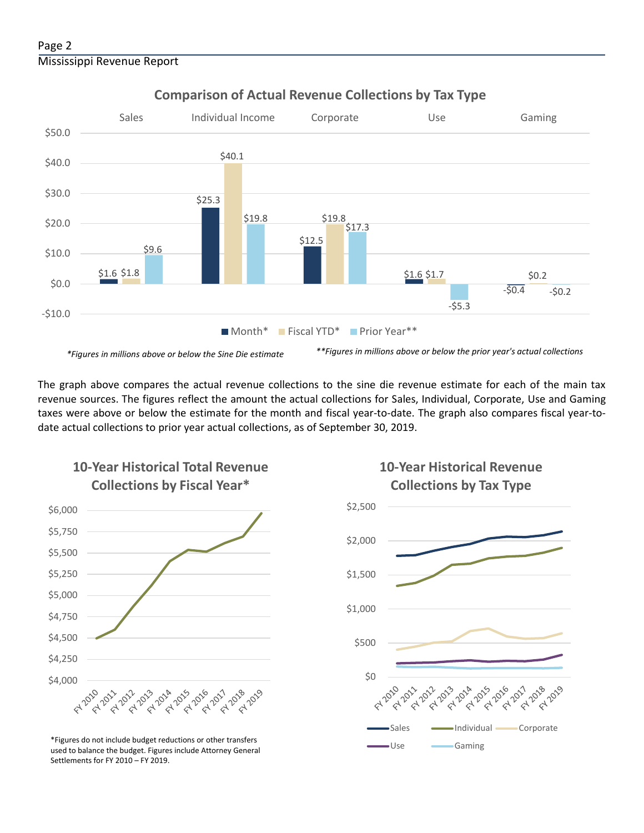

# **Comparison of Actual Revenue Collections by Tax Type**

The graph above compares the actual revenue collections to the sine die revenue estimate for each of the main tax revenue sources. The figures reflect the amount the actual collections for Sales, Individual, Corporate, Use and Gaming taxes were above or below the estimate for the month and fiscal year-to-date. The graph also compares fiscal year-todate actual collections to prior year actual collections, as of September 30, 2019.



**10-Year Historical Total Revenue** 

Use Gaming \*Figures do not include budget reductions or other transfers used to balance the budget. Figures include Attorney General Settlements for FY 2010 – FY 2019.

# **10-Year Historical Revenue Collections by Tax Type**

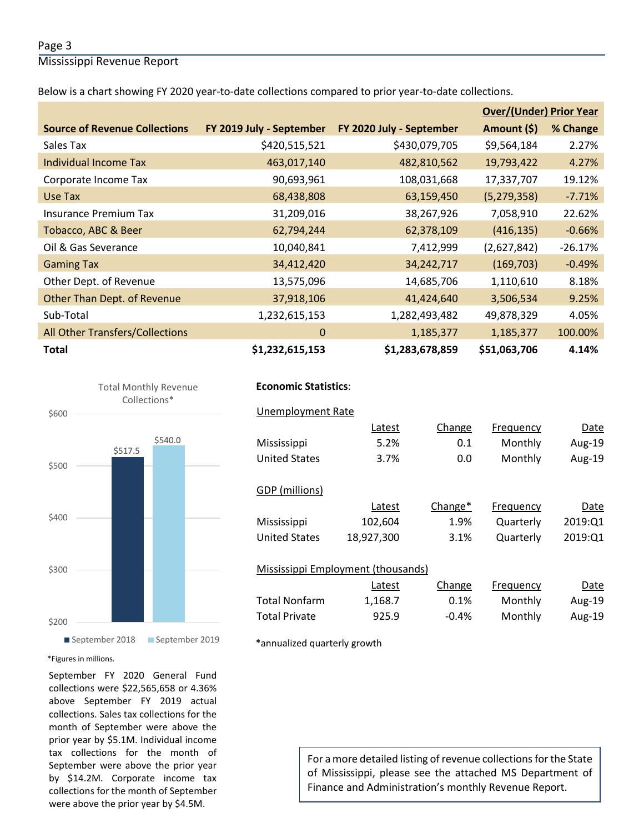### Page 3

Mississippi Revenue Report

Below is a chart showing FY 2020 year-to-date collections compared to prior year-to-date collections.

|                                      |                          |                          | <b>Over/(Under) Prior Year</b> |           |
|--------------------------------------|--------------------------|--------------------------|--------------------------------|-----------|
| <b>Source of Revenue Collections</b> | FY 2019 July - September | FY 2020 July - September | Amount (\$)                    | % Change  |
| Sales Tax                            | \$420,515,521            | \$430,079,705            | \$9,564,184                    | 2.27%     |
| <b>Individual Income Tax</b>         | 463,017,140              | 482,810,562              | 19,793,422                     | 4.27%     |
| Corporate Income Tax                 | 90,693,961               | 108,031,668              | 17,337,707                     | 19.12%    |
| Use Tax                              | 68,438,808               | 63,159,450               | (5, 279, 358)                  | $-7.71%$  |
| <b>Insurance Premium Tax</b>         | 31,209,016               | 38,267,926               | 7,058,910                      | 22.62%    |
| Tobacco, ABC & Beer                  | 62,794,244               | 62,378,109               | (416, 135)                     | $-0.66%$  |
| Oil & Gas Severance                  | 10,040,841               | 7,412,999                | (2,627,842)                    | $-26.17%$ |
| <b>Gaming Tax</b>                    | 34,412,420               | 34,242,717               | (169, 703)                     | $-0.49%$  |
| Other Dept. of Revenue               | 13,575,096               | 14,685,706               | 1,110,610                      | 8.18%     |
| Other Than Dept. of Revenue          | 37,918,106               | 41,424,640               | 3,506,534                      | 9.25%     |
| Sub-Total                            | 1,232,615,153            | 1,282,493,482            | 49,878,329                     | 4.05%     |
| All Other Transfers/Collections      | $\mathbf{0}$             | 1,185,377                | 1,185,377                      | 100.00%   |
| <b>Total</b>                         | \$1,232,615,153          | \$1,283,678,859          | \$51,063,706                   | 4.14%     |



#### September 2018 September 2019

#### \*Figures in millions.

September FY 2020 General Fund collections were \$22,565,658 or 4.36% above September FY 2019 actual collections. Sales tax collections for the month of September were above the prior year by \$5.1M. Individual income tax collections for the month of September were above the prior year by \$14.2M. Corporate income tax collections for the month of September were above the prior year by \$4.5M.

## **Economic Statistics**:  **Economic Statistics**:

|  | Unemployment Rate |  |
|--|-------------------|--|
|  |                   |  |

| Aug-19  |
|---------|
|         |
| Aug-19  |
|         |
|         |
| Date    |
| 2019:01 |
| 2019:Q1 |
|         |
|         |
| Date    |
| Aug-19  |
| Aug-19  |
|         |

\*annualized quarterly growth

For a more detailed listing of revenue collections for the State of Mississippi, please see the attached MS Department of Finance and Administration's monthly Revenue Report.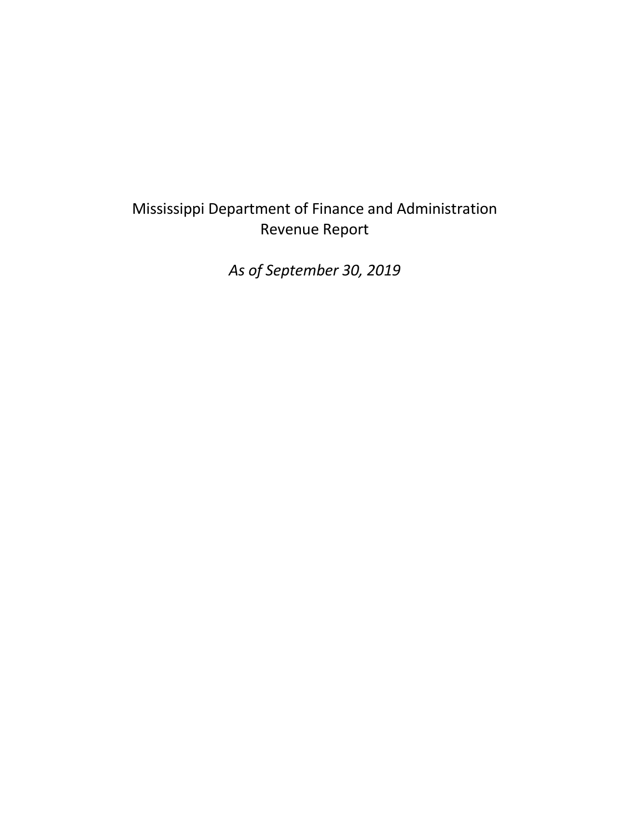# Mississippi Department of Finance and Administration Revenue Report

*As of September 30, 2019*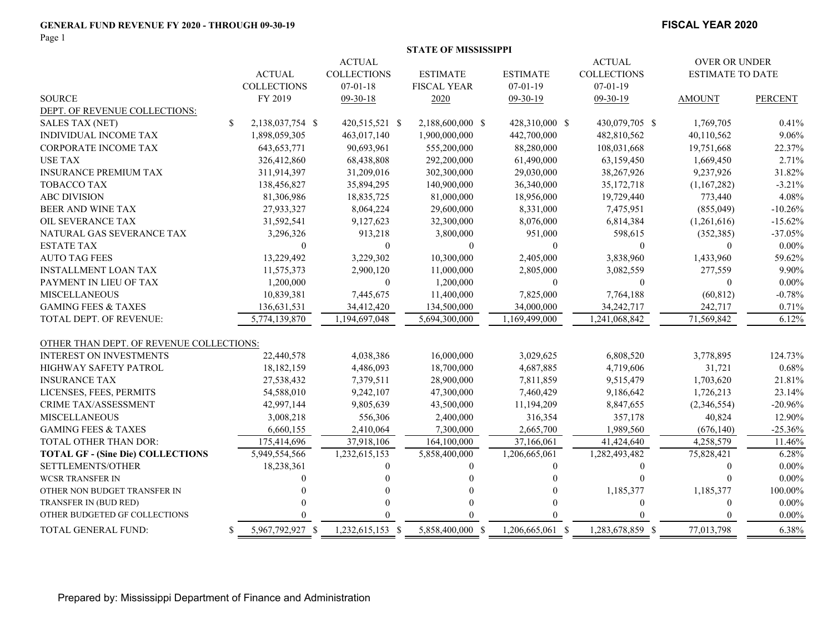#### **GENERAL FUND REVENUE FY 2020 - THROUGH 09-30-19**

Page 1

#### **FISCAL YEAR 2020**

|                                          |                                |                    |                    | <b>STATE OF MISSISSIPPI</b> |                  |                    |                         |                |  |
|------------------------------------------|--------------------------------|--------------------|--------------------|-----------------------------|------------------|--------------------|-------------------------|----------------|--|
|                                          | <b>ACTUAL</b><br><b>ACTUAL</b> |                    |                    |                             |                  |                    |                         | OVER OR UNDER  |  |
|                                          |                                | <b>ACTUAL</b>      | <b>COLLECTIONS</b> | <b>ESTIMATE</b>             | <b>ESTIMATE</b>  | <b>COLLECTIONS</b> | <b>ESTIMATE TO DATE</b> |                |  |
|                                          |                                | <b>COLLECTIONS</b> | $07 - 01 - 18$     | <b>FISCAL YEAR</b>          | $07 - 01 - 19$   | $07-01-19$         |                         |                |  |
| <b>SOURCE</b>                            |                                | FY 2019            | 09-30-18           | 2020                        | $09-30-19$       | $09-30-19$         | <b>AMOUNT</b>           | <b>PERCENT</b> |  |
| DEPT. OF REVENUE COLLECTIONS:            |                                |                    |                    |                             |                  |                    |                         |                |  |
| <b>SALES TAX (NET)</b>                   | S.                             | 2,138,037,754 \$   | 420,515,521 \$     | 2,188,600,000 \$            | 428,310,000 \$   | 430,079,705 \$     | 1,769,705               | 0.41%          |  |
| INDIVIDUAL INCOME TAX                    |                                | 1,898,059,305      | 463,017,140        | 1,900,000,000               | 442,700,000      | 482,810,562        | 40,110,562              | 9.06%          |  |
| <b>CORPORATE INCOME TAX</b>              |                                | 643, 653, 771      | 90,693,961         | 555,200,000                 | 88,280,000       | 108,031,668        | 19,751,668              | 22.37%         |  |
| <b>USE TAX</b>                           |                                | 326,412,860        | 68,438,808         | 292,200,000                 | 61,490,000       | 63,159,450         | 1,669,450               | 2.71%          |  |
| <b>INSURANCE PREMIUM TAX</b>             |                                | 311,914,397        | 31,209,016         | 302,300,000                 | 29,030,000       | 38,267,926         | 9,237,926               | 31.82%         |  |
| <b>TOBACCO TAX</b>                       |                                | 138,456,827        | 35,894,295         | 140,900,000                 | 36,340,000       | 35, 172, 718       | (1,167,282)             | $-3.21%$       |  |
| <b>ABC DIVISION</b>                      |                                | 81,306,986         | 18,835,725         | 81,000,000                  | 18,956,000       | 19,729,440         | 773,440                 | 4.08%          |  |
| BEER AND WINE TAX                        |                                | 27,933,327         | 8,064,224          | 29,600,000                  | 8,331,000        | 7,475,951          | (855,049)               | $-10.26%$      |  |
| <b>OIL SEVERANCE TAX</b>                 |                                | 31,592,541         | 9,127,623          | 32,300,000                  | 8,076,000        | 6,814,384          | (1,261,616)             | $-15.62%$      |  |
| NATURAL GAS SEVERANCE TAX                |                                | 3,296,326          | 913,218            | 3,800,000                   | 951,000          | 598,615            | (352, 385)              | $-37.05%$      |  |
| <b>ESTATE TAX</b>                        |                                | $\Omega$           | $\mathbf{0}$       | $\boldsymbol{0}$            | $\theta$         | $\Omega$           | $\overline{0}$          | $0.00\%$       |  |
| <b>AUTO TAG FEES</b>                     |                                | 13,229,492         | 3,229,302          | 10,300,000                  | 2,405,000        | 3,838,960          | 1,433,960               | 59.62%         |  |
| <b>INSTALLMENT LOAN TAX</b>              |                                | 11,575,373         | 2,900,120          | 11,000,000                  | 2,805,000        | 3,082,559          | 277,559                 | 9.90%          |  |
| PAYMENT IN LIEU OF TAX                   |                                | 1,200,000          | $\boldsymbol{0}$   | 1,200,000                   | $\boldsymbol{0}$ | $\Omega$           | $\boldsymbol{0}$        | $0.00\%$       |  |
| <b>MISCELLANEOUS</b>                     |                                | 10,839,381         | 7,445,675          | 11,400,000                  | 7,825,000        | 7,764,188          | (60, 812)               | $-0.78%$       |  |
| <b>GAMING FEES &amp; TAXES</b>           |                                | 136,631,531        | 34,412,420         | 134,500,000                 | 34,000,000       | 34,242,717         | 242,717                 | 0.71%          |  |
| <b>TOTAL DEPT. OF REVENUE:</b>           |                                | 5,774,139,870      | 1,194,697,048      | 5,694,300,000               | 1,169,499,000    | 1,241,068,842      | 71,569,842              | 6.12%          |  |
| OTHER THAN DEPT. OF REVENUE COLLECTIONS: |                                |                    |                    |                             |                  |                    |                         |                |  |
| <b>INTEREST ON INVESTMENTS</b>           |                                | 22,440,578         | 4,038,386          | 16,000,000                  | 3,029,625        | 6,808,520          | 3,778,895               | 124.73%        |  |
| HIGHWAY SAFETY PATROL                    |                                | 18,182,159         | 4,486,093          | 18,700,000                  | 4,687,885        | 4,719,606          | 31,721                  | 0.68%          |  |
| <b>INSURANCE TAX</b>                     |                                | 27,538,432         | 7,379,511          | 28,900,000                  | 7,811,859        | 9,515,479          | 1,703,620               | 21.81%         |  |
| LICENSES, FEES, PERMITS                  |                                | 54,588,010         | 9,242,107          | 47,300,000                  | 7,460,429        | 9,186,642          | 1,726,213               | 23.14%         |  |
| CRIME TAX/ASSESSMENT                     |                                | 42,997,144         | 9,805,639          | 43,500,000                  | 11,194,209       | 8,847,655          | (2,346,554)             | $-20.96%$      |  |
| <b>MISCELLANEOUS</b>                     |                                | 3,008,218          | 556,306            | 2,400,000                   | 316,354          | 357,178            | 40,824                  | 12.90%         |  |
| <b>GAMING FEES &amp; TAXES</b>           |                                | 6,660,155          | 2,410,064          | 7,300,000                   | 2,665,700        | 1,989,560          | (676, 140)              | $-25.36%$      |  |
| TOTAL OTHER THAN DOR:                    |                                | 175,414,696        | 37,918,106         | 164,100,000                 | 37,166,061       | 41,424,640         | 4,258,579               | 11.46%         |  |
| <b>TOTAL GF - (Sine Die) COLLECTIONS</b> |                                | 5,949,554,566      | 1,232,615,153      | 5,858,400,000               | 1,206,665,061    | 1,282,493,482      | 75,828,421              | 6.28%          |  |
| SETTLEMENTS/OTHER                        |                                | 18,238,361         | $\Omega$           | $\theta$                    | $\Omega$         | $\Omega$           | $\mathbf{0}$            | $0.00\%$       |  |
| <b>WCSR TRANSFER IN</b>                  |                                |                    |                    |                             |                  |                    | $\Omega$                | $0.00\%$       |  |
| OTHER NON BUDGET TRANSFER IN             |                                |                    |                    |                             |                  | 1,185,377          | 1,185,377               | 100.00%        |  |
| TRANSFER IN (BUD RED)                    |                                |                    | $\Omega$           |                             |                  | $\theta$           | $\mathbf{0}$            | $0.00\%$       |  |
| OTHER BUDGETED GF COLLECTIONS            |                                |                    |                    |                             |                  |                    | $\Omega$                | $0.00\%$       |  |
| TOTAL GENERAL FUND:                      | \$.                            | 5,967,792,927 \$   | 1,232,615,153 \$   | 5,858,400,000 \$            | 1,206,665,061 \$ | 1,283,678,859 \$   | 77,013,798              | 6.38%          |  |

Prepared by: Mississippi Department of Finance and Administration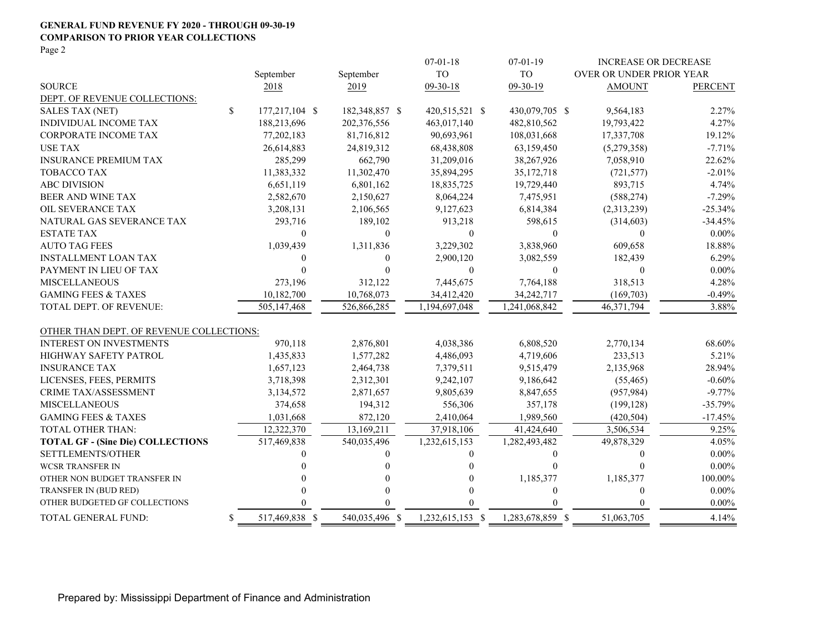#### **GENERAL FUND REVENUE FY 2020 - THROUGH 09-30-19 COMPARISON TO PRIOR YEAR COLLECTIONS** Page 2

|                                          |                      |                | $07 - 01 - 18$   | $07 - 01 - 19$   | <b>INCREASE OR DECREASE</b> |                |
|------------------------------------------|----------------------|----------------|------------------|------------------|-----------------------------|----------------|
|                                          | September            | September      | <b>TO</b>        | <b>TO</b>        | OVER OR UNDER PRIOR YEAR    |                |
| <b>SOURCE</b>                            | 2018                 | 2019           | $09 - 30 - 18$   | 09-30-19         | <b>AMOUNT</b>               | <b>PERCENT</b> |
| DEPT. OF REVENUE COLLECTIONS:            |                      |                |                  |                  |                             |                |
| <b>SALES TAX (NET)</b>                   | \$<br>177,217,104 \$ | 182,348,857 \$ | 420,515,521 \$   | 430,079,705 \$   | 9,564,183                   | 2.27%          |
| INDIVIDUAL INCOME TAX                    | 188,213,696          | 202,376,556    | 463,017,140      | 482,810,562      | 19,793,422                  | 4.27%          |
| <b>CORPORATE INCOME TAX</b>              | 77,202,183           | 81,716,812     | 90,693,961       | 108,031,668      | 17,337,708                  | 19.12%         |
| <b>USE TAX</b>                           | 26,614,883           | 24,819,312     | 68,438,808       | 63,159,450       | (5,279,358)                 | $-7.71\%$      |
| <b>INSURANCE PREMIUM TAX</b>             | 285,299              | 662,790        | 31,209,016       | 38,267,926       | 7,058,910                   | 22.62%         |
| <b>TOBACCO TAX</b>                       | 11,383,332           | 11,302,470     | 35,894,295       | 35, 172, 718     | (721, 577)                  | $-2.01%$       |
| <b>ABC DIVISION</b>                      | 6,651,119            | 6,801,162      | 18,835,725       | 19,729,440       | 893,715                     | 4.74%          |
| BEER AND WINE TAX                        | 2,582,670            | 2,150,627      | 8,064,224        | 7,475,951        | (588, 274)                  | $-7.29%$       |
| OIL SEVERANCE TAX                        | 3,208,131            | 2,106,565      | 9,127,623        | 6,814,384        | (2,313,239)                 | $-25.34%$      |
| NATURAL GAS SEVERANCE TAX                | 293,716              | 189,102        | 913,218          | 598,615          | (314,603)                   | $-34.45%$      |
| <b>ESTATE TAX</b>                        | $\theta$             | $\mathbf{0}$   | $\bf{0}$         | $\mathbf{0}$     | $\theta$                    | $0.00\%$       |
| <b>AUTO TAG FEES</b>                     | 1,039,439            | 1,311,836      | 3,229,302        | 3,838,960        | 609,658                     | 18.88%         |
| <b>INSTALLMENT LOAN TAX</b>              | $\Omega$             | $\mathbf{0}$   | 2,900,120        | 3,082,559        | 182,439                     | 6.29%          |
| PAYMENT IN LIEU OF TAX                   |                      | $\Omega$       | $\boldsymbol{0}$ | $\mathbf{0}$     | $\mathbf{0}$                | $0.00\%$       |
| <b>MISCELLANEOUS</b>                     | 273,196              | 312,122        | 7,445,675        | 7,764,188        | 318,513                     | 4.28%          |
| <b>GAMING FEES &amp; TAXES</b>           | 10,182,700           | 10,768,073     | 34,412,420       | 34, 242, 717     | (169,703)                   | $-0.49%$       |
| TOTAL DEPT. OF REVENUE:                  | 505,147,468          | 526,866,285    | 1,194,697,048    | 1,241,068,842    | 46,371,794                  | 3.88%          |
|                                          |                      |                |                  |                  |                             |                |
| OTHER THAN DEPT. OF REVENUE COLLECTIONS: |                      |                |                  |                  |                             |                |
| <b>INTEREST ON INVESTMENTS</b>           | 970,118              | 2,876,801      | 4,038,386        | 6,808,520        | 2,770,134                   | 68.60%         |
| HIGHWAY SAFETY PATROL                    | 1,435,833            | 1,577,282      | 4,486,093        | 4,719,606        | 233,513                     | 5.21%          |
| <b>INSURANCE TAX</b>                     | 1,657,123            | 2,464,738      | 7,379,511        | 9,515,479        | 2,135,968                   | 28.94%         |
| LICENSES, FEES, PERMITS                  | 3,718,398            | 2,312,301      | 9,242,107        | 9,186,642        | (55, 465)                   | $-0.60%$       |
| CRIME TAX/ASSESSMENT                     | 3,134,572            | 2,871,657      | 9,805,639        | 8,847,655        | (957, 984)                  | $-9.77%$       |
| <b>MISCELLANEOUS</b>                     | 374,658              | 194,312        | 556,306          | 357,178          | (199, 128)                  | $-35.79%$      |
| <b>GAMING FEES &amp; TAXES</b>           | 1,031,668            | 872,120        | 2,410,064        | 1,989,560        | (420, 504)                  | $-17.45%$      |
| TOTAL OTHER THAN:                        | 12,322,370           | 13,169,211     | 37,918,106       | 41,424,640       | 3,506,534                   | 9.25%          |
| <b>TOTAL GF - (Sine Die) COLLECTIONS</b> | 517,469,838          | 540,035,496    | 1,232,615,153    | 1,282,493,482    | 49,878,329                  | 4.05%          |
| SETTLEMENTS/OTHER                        |                      | 0              | $\Omega$         | $\Omega$         | $\theta$                    | $0.00\%$       |
| <b>WCSR TRANSFER IN</b>                  |                      |                | 0                | $\Omega$         | $\Omega$                    | $0.00\%$       |
| OTHER NON BUDGET TRANSFER IN             |                      |                | 0                | 1,185,377        | 1,185,377                   | 100.00%        |
| TRANSFER IN (BUD RED)                    |                      | 0              | 0                | $\theta$         | $\mathbf{0}$                | $0.00\%$       |
| OTHER BUDGETED GF COLLECTIONS            |                      | $\Omega$       |                  | $\Omega$         | $\theta$                    | $0.00\%$       |
| TOTAL GENERAL FUND:                      | \$<br>517,469,838 \$ | 540,035,496 \$ | 1,232,615,153 \$ | 1,283,678,859 \$ | 51,063,705                  | 4.14%          |